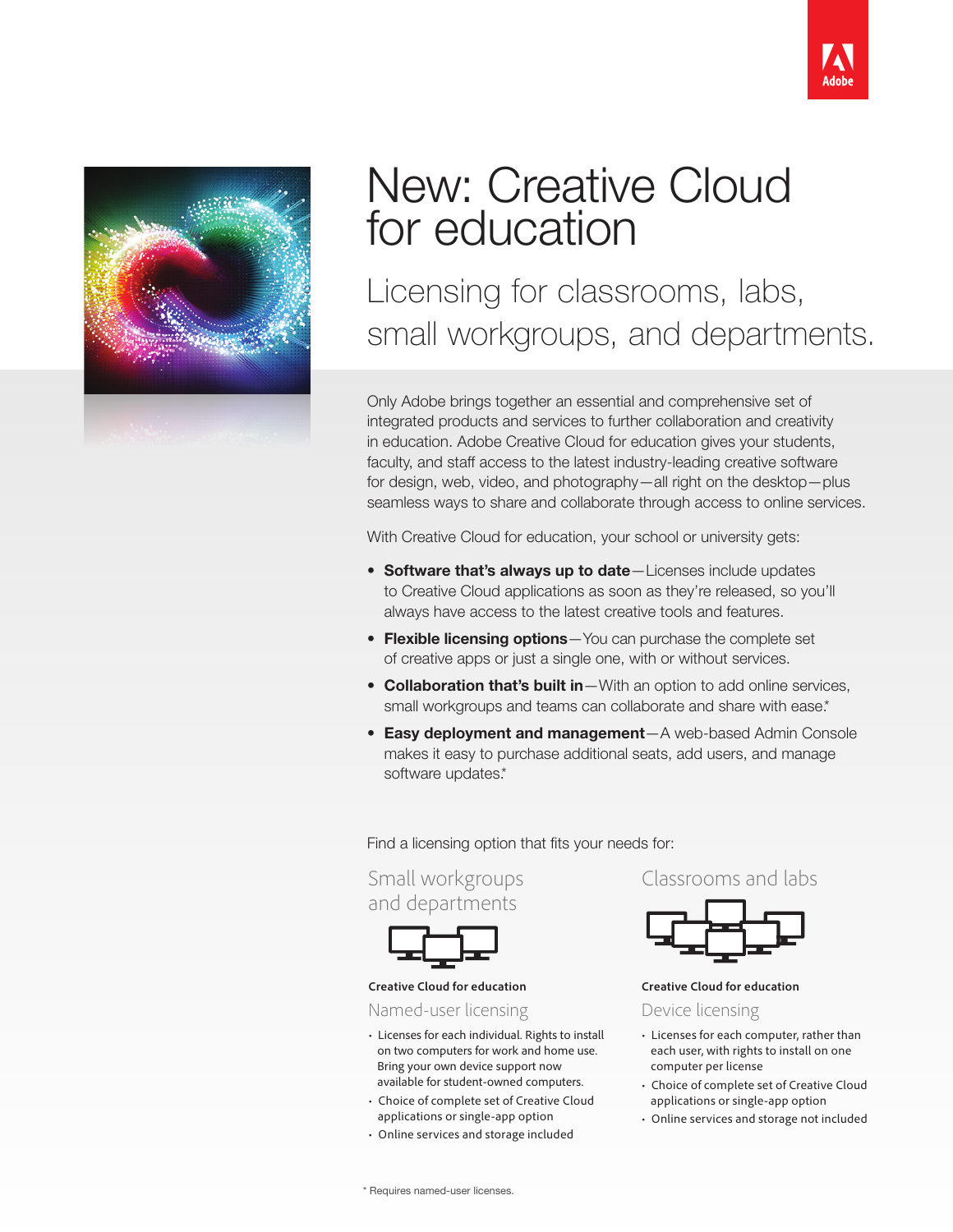



## New: Creative Cloud for education

Licensing for classrooms, labs, small workgroups, and departments.

Only Adobe brings together an essential and comprehensive set of integrated products and services to further collaboration and creativity in education. Adobe Creative Cloud for education gives your students, faculty, and staff access to the latest industry-leading creative software for design, web, video, and photography—all right on the desktop—plus seamless ways to share and collaborate through access to online services.

With Creative Cloud for education, your school or university gets:

- Software that's always up to date-Licenses include updates to Creative Cloud applications as soon as they're released, so you'll always have access to the latest creative tools and features.
- Flexible licensing options-You can purchase the complete set of creative apps or just a single one, with or without services.
- Collaboration that's built in-With an option to add online services, small workgroups and teams can collaborate and share with ease.\*
- Easy deployment and management—A web-based Admin Console makes it easy to purchase additional seats, add users, and manage software updates.\*

Find a licensing option that fits your needs for:

Small workgroups and departments



## **Creative Cloud for education**

Named-user licensing

- Licenses for each individual. Rights to install on two computers for work and home use. Bring your own device support now available for student-owned computers.
- Choice of complete set of Creative Cloud applications or single-app option
- Online services and storage included

Classrooms and labs



**Creative Cloud for education** 

Device licensing

- Licenses for each computer, rather than each user, with rights to install on one computer per license
- Choice of complete set of Creative Cloud applications or single-app option
- Online services and storage not included